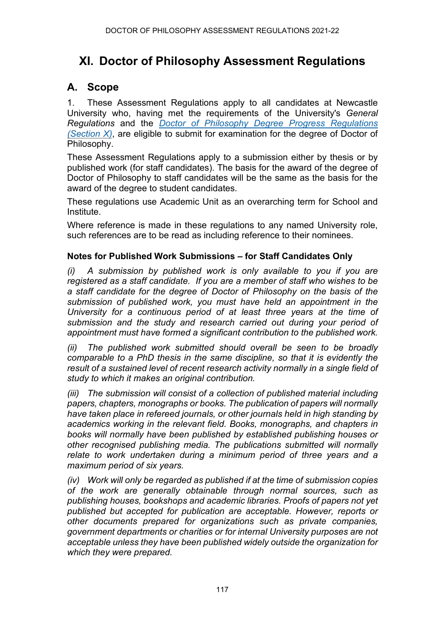# **XI. Doctor of Philosophy Assessment Regulations**

# **A. Scope**

1. These Assessment Regulations apply to all candidates at Newcastle University who, having met the requirements of the University's *General Regulations* and the *[Doctor of Philosophy Degree Progress Regulations](https://www.ncl.ac.uk/regulations/docs/) [\(Section X\)](https://www.ncl.ac.uk/regulations/docs/)*, are eligible to submit for examination for the degree of Doctor of Philosophy.

These Assessment Regulations apply to a submission either by thesis or by published work (for staff candidates). The basis for the award of the degree of Doctor of Philosophy to staff candidates will be the same as the basis for the award of the degree to student candidates.

These regulations use Academic Unit as an overarching term for School and Institute.

Where reference is made in these regulations to any named University role, such references are to be read as including reference to their nominees.

#### **Notes for Published Work Submissions – for Staff Candidates Only**

*(i) A submission by published work is only available to you if you are registered as a staff candidate. If you are a member of staff who wishes to be a staff candidate for the degree of Doctor of Philosophy on the basis of the submission of published work, you must have held an appointment in the University for a continuous period of at least three years at the time of submission and the study and research carried out during your period of appointment must have formed a significant contribution to the published work.*

*(ii) The published work submitted should overall be seen to be broadly comparable to a PhD thesis in the same discipline, so that it is evidently the result of a sustained level of recent research activity normally in a single field of study to which it makes an original contribution.*

*(iii) The submission will consist of a collection of published material including papers, chapters, monographs or books. The publication of papers will normally have taken place in refereed journals, or other journals held in high standing by academics working in the relevant field. Books, monographs, and chapters in books will normally have been published by established publishing houses or other recognised publishing media. The publications submitted will normally relate to work undertaken during a minimum period of three years and a maximum period of six years.*

*(iv) Work will only be regarded as published if at the time of submission copies of the work are generally obtainable through normal sources, such as publishing houses, bookshops and academic libraries. Proofs of papers not yet published but accepted for publication are acceptable. However, reports or other documents prepared for organizations such as private companies, government departments or charities or for internal University purposes are not acceptable unless they have been published widely outside the organization for which they were prepared.*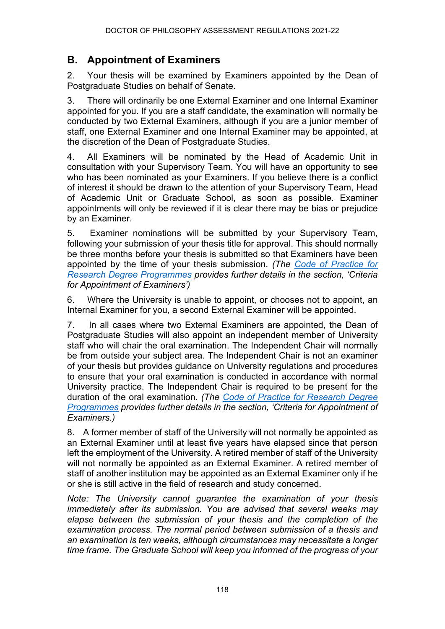# **B. Appointment of Examiners**

2. Your thesis will be examined by Examiners appointed by the Dean of Postgraduate Studies on behalf of Senate.

3. There will ordinarily be one External Examiner and one Internal Examiner appointed for you. If you are a staff candidate, the examination will normally be conducted by two External Examiners, although if you are a junior member of staff, one External Examiner and one Internal Examiner may be appointed, at the discretion of the Dean of Postgraduate Studies.

4. All Examiners will be nominated by the Head of Academic Unit in consultation with your Supervisory Team. You will have an opportunity to see who has been nominated as your Examiners. If you believe there is a conflict of interest it should be drawn to the attention of your Supervisory Team, Head of Academic Unit or Graduate School, as soon as possible. Examiner appointments will only be reviewed if it is clear there may be bias or prejudice by an Examiner.

5. Examiner nominations will be submitted by your Supervisory Team, following your submission of your thesis title for approval. This should normally be three months before your thesis is submitted so that Examiners have been appointed by the time of your thesis submission. *(The [Code of Practice for](https://www.ncl.ac.uk/student-progress/pgr/publications/)  [Research Degree Programmes](https://www.ncl.ac.uk/student-progress/pgr/publications/) provides further details in the section, 'Criteria for Appointment of Examiners')*

6. Where the University is unable to appoint, or chooses not to appoint, an Internal Examiner for you, a second External Examiner will be appointed.

7. In all cases where two External Examiners are appointed, the Dean of Postgraduate Studies will also appoint an independent member of University staff who will chair the oral examination. The Independent Chair will normally be from outside your subject area. The Independent Chair is not an examiner of your thesis but provides guidance on University regulations and procedures to ensure that your oral examination is conducted in accordance with normal University practice. The Independent Chair is required to be present for the duration of the oral examination. *(The [Code of Practice for Research Degree](https://www.ncl.ac.uk/student-progress/pgr/publications/)  [Programmes](https://www.ncl.ac.uk/student-progress/pgr/publications/) provides further details in the section, 'Criteria for Appointment of Examiners.)*

8. A former member of staff of the University will not normally be appointed as an External Examiner until at least five years have elapsed since that person left the employment of the University. A retired member of staff of the University will not normally be appointed as an External Examiner. A retired member of staff of another institution may be appointed as an External Examiner only if he or she is still active in the field of research and study concerned.

*Note: The University cannot guarantee the examination of your thesis immediately after its submission. You are advised that several weeks may elapse between the submission of your thesis and the completion of the examination process. The normal period between submission of a thesis and an examination is ten weeks, although circumstances may necessitate a longer time frame. The Graduate School will keep you informed of the progress of your*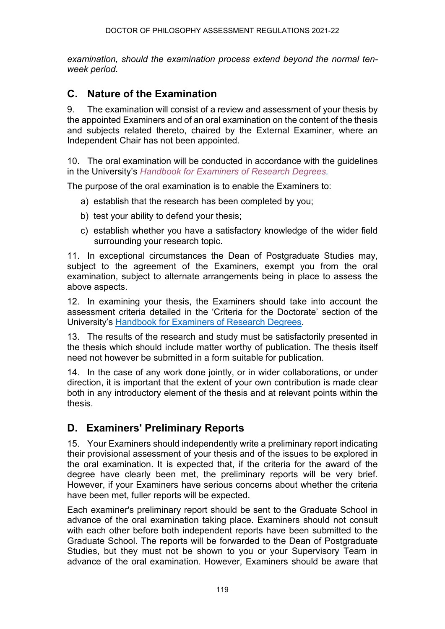*examination, should the examination process extend beyond the normal tenweek period.* 

### **C. Nature of the Examination**

9. The examination will consist of a review and assessment of your thesis by the appointed Examiners and of an oral examination on the content of the thesis and subjects related thereto, chaired by the External Examiner, where an Independent Chair has not been appointed.

10. The oral examination will be conducted in accordance with the guidelines in the University's *[Handbook for Examiners of Research Degrees.](https://www.ncl.ac.uk/student-progress/pgr/publications/)*

The purpose of the oral examination is to enable the Examiners to:

- a) establish that the research has been completed by you;
- b) test your ability to defend your thesis;
- c) establish whether you have a satisfactory knowledge of the wider field surrounding your research topic.

11. In exceptional circumstances the Dean of Postgraduate Studies may, subject to the agreement of the Examiners, exempt you from the oral examination, subject to alternate arrangements being in place to assess the above aspects.

12. In examining your thesis, the Examiners should take into account the assessment criteria detailed in the 'Criteria for the Doctorate' section of the University's [Handbook for Examiners of Research Degrees.](https://www.ncl.ac.uk/student-progress/pgr/publications/)

13. The results of the research and study must be satisfactorily presented in the thesis which should include matter worthy of publication. The thesis itself need not however be submitted in a form suitable for publication.

14. In the case of any work done jointly, or in wider collaborations, or under direction, it is important that the extent of your own contribution is made clear both in any introductory element of the thesis and at relevant points within the thesis.

### **D. Examiners' Preliminary Reports**

15. Your Examiners should independently write a preliminary report indicating their provisional assessment of your thesis and of the issues to be explored in the oral examination. It is expected that, if the criteria for the award of the degree have clearly been met, the preliminary reports will be very brief. However, if your Examiners have serious concerns about whether the criteria have been met, fuller reports will be expected.

Each examiner's preliminary report should be sent to the Graduate School in advance of the oral examination taking place. Examiners should not consult with each other before both independent reports have been submitted to the Graduate School. The reports will be forwarded to the Dean of Postgraduate Studies, but they must not be shown to you or your Supervisory Team in advance of the oral examination. However, Examiners should be aware that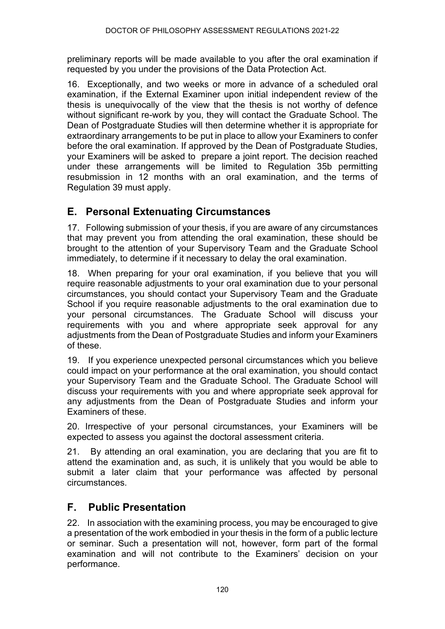preliminary reports will be made available to you after the oral examination if requested by you under the provisions of the Data Protection Act.

16. Exceptionally, and two weeks or more in advance of a scheduled oral examination, if the External Examiner upon initial independent review of the thesis is unequivocally of the view that the thesis is not worthy of defence without significant re-work by you, they will contact the Graduate School. The Dean of Postgraduate Studies will then determine whether it is appropriate for extraordinary arrangements to be put in place to allow your Examiners to confer before the oral examination. If approved by the Dean of Postgraduate Studies, your Examiners will be asked to prepare a joint report. The decision reached under these arrangements will be limited to Regulation 35b permitting resubmission in 12 months with an oral examination, and the terms of Regulation 39 must apply.

# **E. Personal Extenuating Circumstances**

17. Following submission of your thesis, if you are aware of any circumstances that may prevent you from attending the oral examination, these should be brought to the attention of your Supervisory Team and the Graduate School immediately, to determine if it necessary to delay the oral examination.

18. When preparing for your oral examination, if you believe that you will require reasonable adjustments to your oral examination due to your personal circumstances, you should contact your Supervisory Team and the Graduate School if you require reasonable adjustments to the oral examination due to your personal circumstances. The Graduate School will discuss your requirements with you and where appropriate seek approval for any adjustments from the Dean of Postgraduate Studies and inform your Examiners of these.

19. If you experience unexpected personal circumstances which you believe could impact on your performance at the oral examination, you should contact your Supervisory Team and the Graduate School. The Graduate School will discuss your requirements with you and where appropriate seek approval for any adjustments from the Dean of Postgraduate Studies and inform your Examiners of these.

20. Irrespective of your personal circumstances, your Examiners will be expected to assess you against the doctoral assessment criteria.

21. By attending an oral examination, you are declaring that you are fit to attend the examination and, as such, it is unlikely that you would be able to submit a later claim that your performance was affected by personal circumstances.

# **F. Public Presentation**

22. In association with the examining process, you may be encouraged to give a presentation of the work embodied in your thesis in the form of a public lecture or seminar. Such a presentation will not, however, form part of the formal examination and will not contribute to the Examiners' decision on your performance.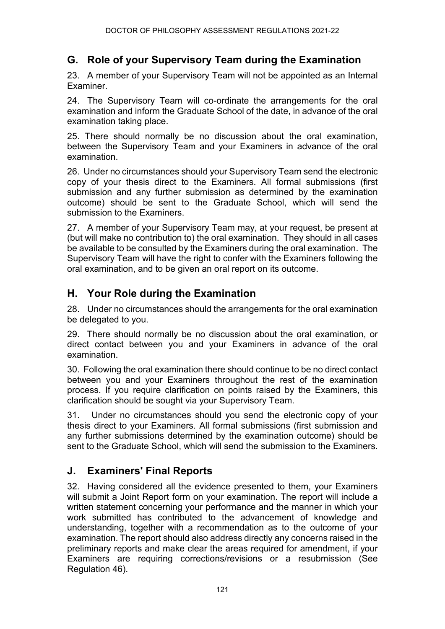# **G. Role of your Supervisory Team during the Examination**

23. A member of your Supervisory Team will not be appointed as an Internal Examiner.

24. The Supervisory Team will co-ordinate the arrangements for the oral examination and inform the Graduate School of the date, in advance of the oral examination taking place.

25. There should normally be no discussion about the oral examination, between the Supervisory Team and your Examiners in advance of the oral examination.

26. Under no circumstances should your Supervisory Team send the electronic copy of your thesis direct to the Examiners. All formal submissions (first submission and any further submission as determined by the examination outcome) should be sent to the Graduate School, which will send the submission to the Examiners.

27. A member of your Supervisory Team may, at your request, be present at (but will make no contribution to) the oral examination. They should in all cases be available to be consulted by the Examiners during the oral examination. The Supervisory Team will have the right to confer with the Examiners following the oral examination, and to be given an oral report on its outcome.

# **H. Your Role during the Examination**

28. Under no circumstances should the arrangements for the oral examination be delegated to you.

29. There should normally be no discussion about the oral examination, or direct contact between you and your Examiners in advance of the oral examination.

30. Following the oral examination there should continue to be no direct contact between you and your Examiners throughout the rest of the examination process. If you require clarification on points raised by the Examiners, this clarification should be sought via your Supervisory Team.

31. Under no circumstances should you send the electronic copy of your thesis direct to your Examiners. All formal submissions (first submission and any further submissions determined by the examination outcome) should be sent to the Graduate School, which will send the submission to the Examiners.

# **J. Examiners' Final Reports**

32. Having considered all the evidence presented to them, your Examiners will submit a Joint Report form on your examination. The report will include a written statement concerning your performance and the manner in which your work submitted has contributed to the advancement of knowledge and understanding, together with a recommendation as to the outcome of your examination. The report should also address directly any concerns raised in the preliminary reports and make clear the areas required for amendment, if your Examiners are requiring corrections/revisions or a resubmission (See Regulation 46).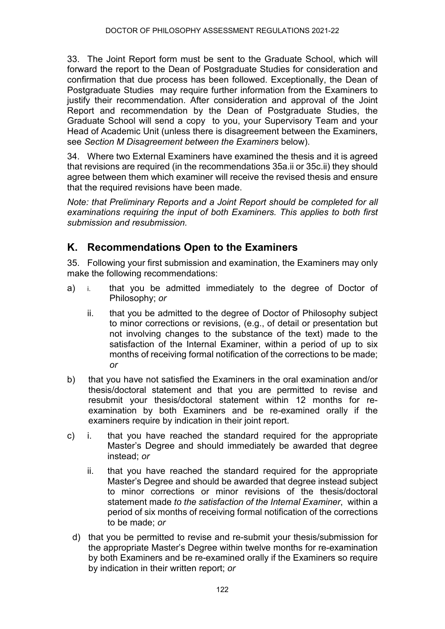33. The Joint Report form must be sent to the Graduate School, which will forward the report to the Dean of Postgraduate Studies for consideration and confirmation that due process has been followed. Exceptionally, the Dean of Postgraduate Studies may require further information from the Examiners to justify their recommendation. After consideration and approval of the Joint Report and recommendation by the Dean of Postgraduate Studies, the Graduate School will send a copy to you, your Supervisory Team and your Head of Academic Unit (unless there is disagreement between the Examiners, see *Section M Disagreement between the Examiners* below).

34. Where two External Examiners have examined the thesis and it is agreed that revisions are required (in the recommendations 35a.ii or 35c.ii) they should agree between them which examiner will receive the revised thesis and ensure that the required revisions have been made.

*Note: that Preliminary Reports and a Joint Report should be completed for all examinations requiring the input of both Examiners. This applies to both first submission and resubmission.*

# **K. Recommendations Open to the Examiners**

35. Following your first submission and examination, the Examiners may only make the following recommendations:

- a) i. that you be admitted immediately to the degree of Doctor of Philosophy; *or*
	- ii. that you be admitted to the degree of Doctor of Philosophy subject to minor corrections or revisions, (e.g., of detail or presentation but not involving changes to the substance of the text) made to the satisfaction of the Internal Examiner, within a period of up to six months of receiving formal notification of the corrections to be made; *or*
- b) that you have not satisfied the Examiners in the oral examination and/or thesis/doctoral statement and that you are permitted to revise and resubmit your thesis/doctoral statement within 12 months for reexamination by both Examiners and be re-examined orally if the examiners require by indication in their joint report.
- c) i. that you have reached the standard required for the appropriate Master's Degree and should immediately be awarded that degree instead; *or*
	- ii. that you have reached the standard required for the appropriate Master's Degree and should be awarded that degree instead subject to minor corrections or minor revisions of the thesis/doctoral statement made *to the satisfaction of the Internal Examiner*, within a period of six months of receiving formal notification of the corrections to be made; *or*
	- d) that you be permitted to revise and re-submit your thesis/submission for the appropriate Master's Degree within twelve months for re-examination by both Examiners and be re-examined orally if the Examiners so require by indication in their written report; *or*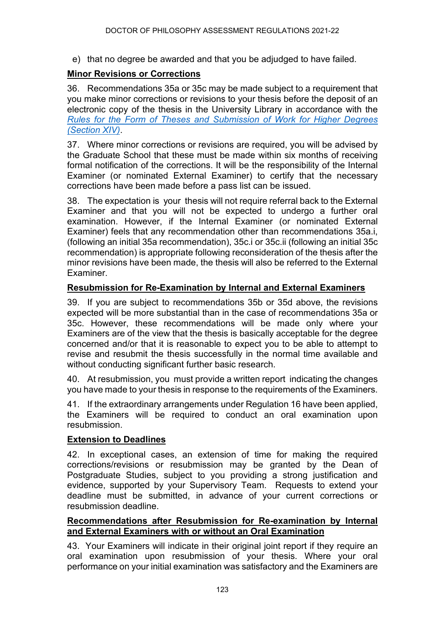e) that no degree be awarded and that you be adjudged to have failed.

#### **Minor Revisions or Corrections**

36. Recommendations 35a or 35c may be made subject to a requirement that you make minor corrections or revisions to your thesis before the deposit of an electronic copy of the thesis in the University Library in accordance with the *Rules for the [Form of Theses and Submission of Work for Higher Degrees](https://www.ncl.ac.uk/regulations/docs/) [\(Section XIV\)](https://www.ncl.ac.uk/regulations/docs/)*.

37. Where minor corrections or revisions are required, you will be advised by the Graduate School that these must be made within six months of receiving formal notification of the corrections. It will be the responsibility of the Internal Examiner (or nominated External Examiner) to certify that the necessary corrections have been made before a pass list can be issued.

38. The expectation is your thesis will not require referral back to the External Examiner and that you will not be expected to undergo a further oral examination. However, if the Internal Examiner (or nominated External Examiner) feels that any recommendation other than recommendations 35a.i, (following an initial 35a recommendation), 35c.i or 35c.ii (following an initial 35c recommendation) is appropriate following reconsideration of the thesis after the minor revisions have been made, the thesis will also be referred to the External Examiner.

#### **Resubmission for Re-Examination by Internal and External Examiners**

39. If you are subject to recommendations 35b or 35d above, the revisions expected will be more substantial than in the case of recommendations 35a or 35c. However, these recommendations will be made only where your Examiners are of the view that the thesis is basically acceptable for the degree concerned and/or that it is reasonable to expect you to be able to attempt to revise and resubmit the thesis successfully in the normal time available and without conducting significant further basic research.

40. At resubmission, you must provide a written report indicating the changes you have made to your thesis in response to the requirements of the Examiners.

41. If the extraordinary arrangements under Regulation 16 have been applied, the Examiners will be required to conduct an oral examination upon resubmission.

#### **Extension to Deadlines**

42. In exceptional cases, an extension of time for making the required corrections/revisions or resubmission may be granted by the Dean of Postgraduate Studies, subject to you providing a strong justification and evidence, supported by your Supervisory Team. Requests to extend your deadline must be submitted, in advance of your current corrections or resubmission deadline.

#### **Recommendations after Resubmission for Re-examination by Internal and External Examiners with or without an Oral Examination**

43. Your Examiners will indicate in their original joint report if they require an oral examination upon resubmission of your thesis. Where your oral performance on your initial examination was satisfactory and the Examiners are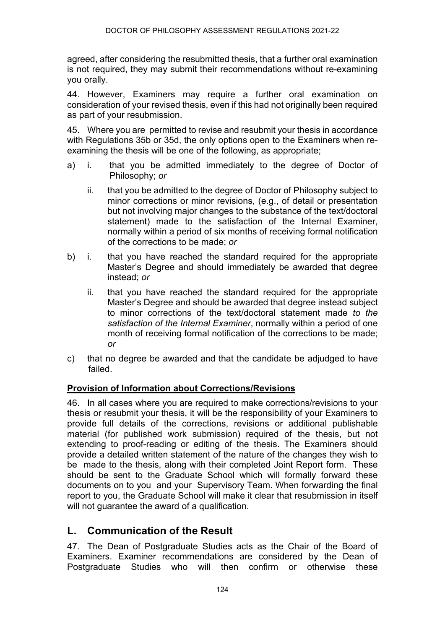agreed, after considering the resubmitted thesis, that a further oral examination is not required, they may submit their recommendations without re-examining you orally.

44. However, Examiners may require a further oral examination on consideration of your revised thesis, even if this had not originally been required as part of your resubmission.

45. Where you are permitted to revise and resubmit your thesis in accordance with Regulations 35b or 35d, the only options open to the Examiners when reexamining the thesis will be one of the following, as appropriate;

- a) i. that you be admitted immediately to the degree of Doctor of Philosophy; *or*
	- ii. that you be admitted to the degree of Doctor of Philosophy subject to minor corrections or minor revisions, (e.g., of detail or presentation but not involving major changes to the substance of the text/doctoral statement) made to the satisfaction of the Internal Examiner, normally within a period of six months of receiving formal notification of the corrections to be made; *or*
- b) i. that you have reached the standard required for the appropriate Master's Degree and should immediately be awarded that degree instead; *or*
	- ii. that you have reached the standard required for the appropriate Master's Degree and should be awarded that degree instead subject to minor corrections of the text/doctoral statement made *to the satisfaction of the Internal Examiner*, normally within a period of one month of receiving formal notification of the corrections to be made; *or*
- c) that no degree be awarded and that the candidate be adjudged to have failed.

#### **Provision of Information about Corrections/Revisions**

46. In all cases where you are required to make corrections/revisions to your thesis or resubmit your thesis, it will be the responsibility of your Examiners to provide full details of the corrections, revisions or additional publishable material (for published work submission) required of the thesis, but not extending to proof-reading or editing of the thesis. The Examiners should provide a detailed written statement of the nature of the changes they wish to be made to the thesis, along with their completed Joint Report form. These should be sent to the Graduate School which will formally forward these documents on to you and your Supervisory Team. When forwarding the final report to you, the Graduate School will make it clear that resubmission in itself will not quarantee the award of a qualification.

### **L. Communication of the Result**

47. The Dean of Postgraduate Studies acts as the Chair of the Board of Examiners. Examiner recommendations are considered by the Dean of Postgraduate Studies who will then confirm or otherwise these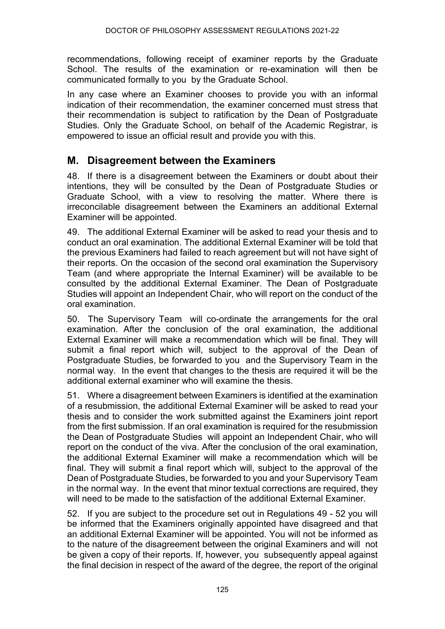recommendations, following receipt of examiner reports by the Graduate School. The results of the examination or re-examination will then be communicated formally to you by the Graduate School.

In any case where an Examiner chooses to provide you with an informal indication of their recommendation, the examiner concerned must stress that their recommendation is subject to ratification by the Dean of Postgraduate Studies. Only the Graduate School, on behalf of the Academic Registrar, is empowered to issue an official result and provide you with this.

### **M. Disagreement between the Examiners**

48. If there is a disagreement between the Examiners or doubt about their intentions, they will be consulted by the Dean of Postgraduate Studies or Graduate School, with a view to resolving the matter. Where there is irreconcilable disagreement between the Examiners an additional External Examiner will be appointed.

49. The additional External Examiner will be asked to read your thesis and to conduct an oral examination. The additional External Examiner will be told that the previous Examiners had failed to reach agreement but will not have sight of their reports. On the occasion of the second oral examination the Supervisory Team (and where appropriate the Internal Examiner) will be available to be consulted by the additional External Examiner. The Dean of Postgraduate Studies will appoint an Independent Chair, who will report on the conduct of the oral examination.

50. The Supervisory Team will co-ordinate the arrangements for the oral examination. After the conclusion of the oral examination, the additional External Examiner will make a recommendation which will be final. They will submit a final report which will, subject to the approval of the Dean of Postgraduate Studies, be forwarded to you and the Supervisory Team in the normal way. In the event that changes to the thesis are required it will be the additional external examiner who will examine the thesis.

51. Where a disagreement between Examiners is identified at the examination of a resubmission, the additional External Examiner will be asked to read your thesis and to consider the work submitted against the Examiners joint report from the first submission. If an oral examination is required for the resubmission the Dean of Postgraduate Studies will appoint an Independent Chair, who will report on the conduct of the viva. After the conclusion of the oral examination, the additional External Examiner will make a recommendation which will be final. They will submit a final report which will, subject to the approval of the Dean of Postgraduate Studies, be forwarded to you and your Supervisory Team in the normal way. In the event that minor textual corrections are required, they will need to be made to the satisfaction of the additional External Examiner.

52. If you are subject to the procedure set out in Regulations 49 - 52 you will be informed that the Examiners originally appointed have disagreed and that an additional External Examiner will be appointed. You will not be informed as to the nature of the disagreement between the original Examiners and will not be given a copy of their reports. If, however, you subsequently appeal against the final decision in respect of the award of the degree, the report of the original